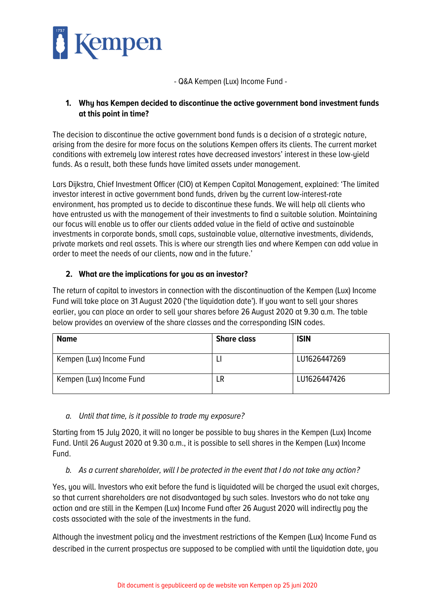

- Q&A Kempen (Lux) Income Fund -

### **1. Why has Kempen decided to discontinue the active government bond investment funds at this point in time?**

The decision to discontinue the active government bond funds is a decision of a strategic nature, arising from the desire for more focus on the solutions Kempen offers its clients. The current market conditions with extremely low interest rates have decreased investors' interest in these low-yield funds. As a result, both these funds have limited assets under management.

Lars Dijkstra, Chief Investment Officer (CIO) at Kempen Capital Management, explained: 'The limited investor interest in active government bond funds, driven by the current low-interest-rate environment, has prompted us to decide to discontinue these funds. We will help all clients who have entrusted us with the management of their investments to find a suitable solution. Maintaining our focus will enable us to offer our clients added value in the field of active and sustainable investments in corporate bonds, small caps, sustainable value, alternative investments, dividends, private markets and real assets. This is where our strength lies and where Kempen can add value in order to meet the needs of our clients, now and in the future.'

## **2. What are the implications for you as an investor?**

The return of capital to investors in connection with the discontinuation of the Kempen (Lux) Income Fund will take place on 31 August 2020 ('the liquidation date'). If you want to sell your shares earlier, you can place an order to sell your shares before 26 August 2020 at 9.30 a.m. The table below provides an overview of the share classes and the corresponding ISIN codes.

| <b>Name</b>              | <b>Share class</b> | <b>ISIN</b>  |
|--------------------------|--------------------|--------------|
| Kempen (Lux) Income Fund |                    | LU1626447269 |
| Kempen (Lux) Income Fund | LR                 | LU1626447426 |

#### *a. Until that time, is it possible to trade my exposure?*

Starting from 15 July 2020, it will no longer be possible to buy shares in the Kempen (Lux) Income Fund. Until 26 August 2020 at 9.30 a.m., it is possible to sell shares in the Kempen (Lux) Income Fund.

#### *b. As a current shareholder, will I be protected in the event that I do not take any action?*

Yes, you will. Investors who exit before the fund is liquidated will be charged the usual exit charges, so that current shareholders are not disadvantaged by such sales. Investors who do not take any action and are still in the Kempen (Lux) Income Fund after 26 August 2020 will indirectly pay the costs associated with the sale of the investments in the fund.

Although the investment policy and the investment restrictions of the Kempen (Lux) Income Fund as described in the current prospectus are supposed to be complied with until the liquidation date, you